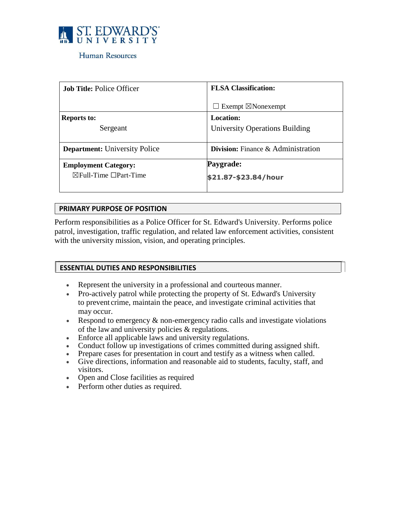

#### Human Resources

| <b>Job Title: Police Officer</b>       | <b>FLSA Classification:</b>               |
|----------------------------------------|-------------------------------------------|
|                                        | $\Box$ Exempt $\boxtimes$ Nonexempt       |
| <b>Reports to:</b>                     | <b>Location:</b>                          |
| Sergeant                               | University Operations Building            |
|                                        |                                           |
| <b>Department:</b> University Police   | <b>Division:</b> Finance & Administration |
| <b>Employment Category:</b>            | Paygrade:                                 |
| $\boxtimes$ Full-Time $\Box$ Part-Time | \$21.87-\$23.84/hour                      |
|                                        |                                           |

#### **PRIMARY PURPOSE OF POSITION**

Perform responsibilities as a Police Officer for St. Edward's University. Performs police patrol, investigation, traffic regulation, and related law enforcement activities, consistent with the university mission, vision, and operating principles.

#### **ESSENTIAL DUTIES AND RESPONSIBILITIES**

- Represent the university in a professional and courteous manner.
- Pro-actively patrol while protecting the property of St. Edward's University to prevent crime, maintain the peace, and investigate criminal activities that may occur.
- Respond to emergency  $\&$  non-emergency radio calls and investigate violations of the law and university policies & regulations.
- Enforce all applicable laws and university regulations.
- Conduct follow up investigations of crimes committed during assigned shift.
- Prepare cases for presentation in court and testify as a witness when called.
- Give directions, information and reasonable aid to students, faculty, staff, and visitors.
- Open and Close facilities as required
- Perform other duties as required.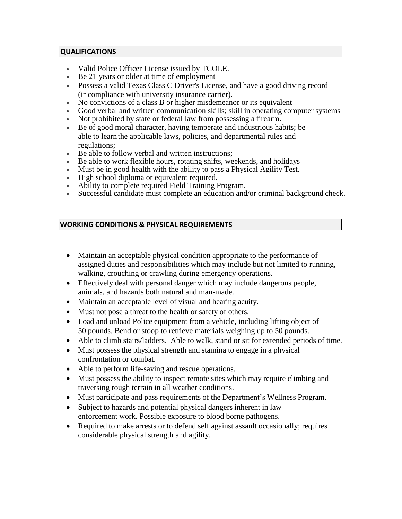#### **QUALIFICATIONS**

- Valid Police Officer License issued by TCOLE.
- Be 21 years or older at time of employment
- Possess a valid Texas Class C Driver's License, and have a good driving record (incompliance with university insurance carrier).
- No convictions of a class B or higher misdemeanor or its equivalent
- Good verbal and written communication skills; skill in operating computer systems
- Not prohibited by state or federal law from possessing a firearm.
- Be of good moral character, having temperate and industrious habits; be able to learn the applicable laws, policies, and departmental rules and regulations;
- Be able to follow verbal and written instructions;
- Be able to work flexible hours, rotating shifts, weekends, and holidays
- Must be in good health with the ability to pass a Physical Agility Test.
- High school diploma or equivalent required.
- Ability to complete required Field Training Program.
- Successful candidate must complete an education and/or criminal background check.

# **WORKING CONDITIONS & PHYSICAL REQUIREMENTS**

- Maintain an acceptable physical condition appropriate to the performance of assigned duties and responsibilities which may include but not limited to running, walking, crouching or crawling during emergency operations.
- Effectively deal with personal danger which may include dangerous people, animals, and hazards both natural and man-made.
- Maintain an acceptable level of visual and hearing acuity.
- Must not pose a threat to the health or safety of others.
- Load and unload Police equipment from a vehicle, including lifting object of 50 pounds. Bend or stoop to retrieve materials weighing up to 50 pounds.
- Able to climb stairs/ladders. Able to walk, stand or sit for extended periods of time.
- Must possess the physical strength and stamina to engage in a physical confrontation or combat.
- Able to perform life-saving and rescue operations.
- Must possess the ability to inspect remote sites which may require climbing and traversing rough terrain in all weather conditions.
- Must participate and pass requirements of the Department's Wellness Program.
- Subject to hazards and potential physical dangers inherent in law enforcement work. Possible exposure to blood borne pathogens.
- Required to make arrests or to defend self against assault occasionally; requires considerable physical strength and agility.